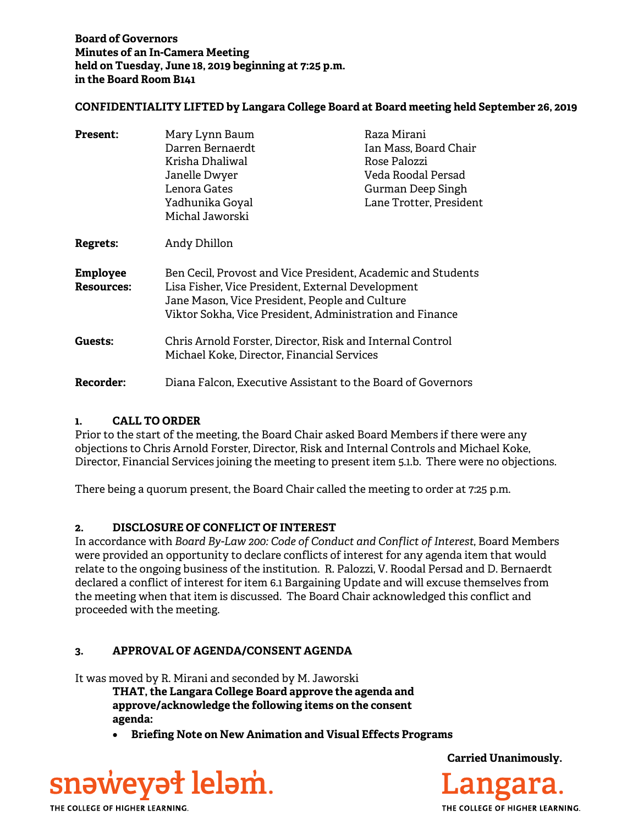## **CONFIDENTIALITY LIFTED by Langara College Board at Board meeting held September 26, 2019**

| <b>Present:</b>                      | Mary Lynn Baum<br>Darren Bernaerdt<br>Krisha Dhaliwal<br>Janelle Dwyer<br>Lenora Gates<br>Yadhunika Goyal<br>Michal Jaworski                                                                                                    | Raza Mirani<br>Ian Mass, Board Chair<br>Rose Palozzi<br>Veda Roodal Persad<br>Gurman Deep Singh<br>Lane Trotter, President |
|--------------------------------------|---------------------------------------------------------------------------------------------------------------------------------------------------------------------------------------------------------------------------------|----------------------------------------------------------------------------------------------------------------------------|
| Regrets:                             | Andy Dhillon                                                                                                                                                                                                                    |                                                                                                                            |
| <b>Employee</b><br><b>Resources:</b> | Ben Cecil, Provost and Vice President, Academic and Students<br>Lisa Fisher, Vice President, External Development<br>Jane Mason, Vice President, People and Culture<br>Viktor Sokha, Vice President, Administration and Finance |                                                                                                                            |
| Guests:                              | Chris Arnold Forster, Director, Risk and Internal Control<br>Michael Koke, Director, Financial Services                                                                                                                         |                                                                                                                            |
| <b>Recorder:</b>                     | Diana Falcon, Executive Assistant to the Board of Governors                                                                                                                                                                     |                                                                                                                            |

# **1. CALL TO ORDER**

Prior to the start of the meeting, the Board Chair asked Board Members if there were any objections to Chris Arnold Forster, Director, Risk and Internal Controls and Michael Koke, Director, Financial Services joining the meeting to present item 5.1.b. There were no objections.

There being a quorum present, the Board Chair called the meeting to order at 7:25 p.m.

# **2. DISCLOSURE OF CONFLICT OF INTEREST**

In accordance with *Board By-Law 200: Code of Conduct and Conflict of Interest*, Board Members were provided an opportunity to declare conflicts of interest for any agenda item that would relate to the ongoing business of the institution. R. Palozzi, V. Roodal Persad and D. Bernaerdt declared a conflict of interest for item 6.1 Bargaining Update and will excuse themselves from the meeting when that item is discussed. The Board Chair acknowledged this conflict and proceeded with the meeting.

# **3. APPROVAL OF AGENDA/CONSENT AGENDA**

It was moved by R. Mirani and seconded by M. Jaworski

**THAT, the Langara College Board approve the agenda and approve/acknowledge the following items on the consent agenda:** 

**Briefing Note on New Animation and Visual Effects Programs** 



**Carried Unanimously.**

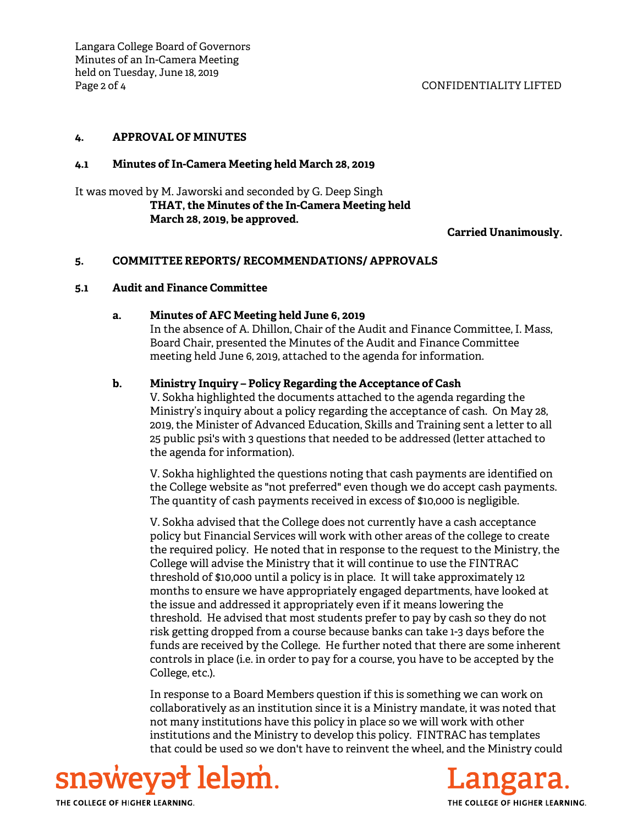## **4. APPROVAL OF MINUTES**

## **4.1 Minutes of In-Camera Meeting held March 28, 2019**

It was moved by M. Jaworski and seconded by G. Deep Singh **THAT, the Minutes of the In-Camera Meeting held March 28, 2019, be approved.**

### **Carried Unanimously.**

## **5. COMMITTEE REPORTS/ RECOMMENDATIONS/ APPROVALS**

### **5.1 Audit and Finance Committee**

### **a. Minutes of AFC Meeting held June 6, 2019**

In the absence of A. Dhillon, Chair of the Audit and Finance Committee, I. Mass, Board Chair, presented the Minutes of the Audit and Finance Committee meeting held June 6, 2019, attached to the agenda for information.

## **b. Ministry Inquiry – Policy Regarding the Acceptance of Cash**

V. Sokha highlighted the documents attached to the agenda regarding the Ministry's inquiry about a policy regarding the acceptance of cash. On May 28, 2019, the Minister of Advanced Education, Skills and Training sent a letter to all 25 public psi's with 3 questions that needed to be addressed (letter attached to the agenda for information).

V. Sokha highlighted the questions noting that cash payments are identified on the College website as "not preferred" even though we do accept cash payments. The quantity of cash payments received in excess of \$10,000 is negligible.

V. Sokha advised that the College does not currently have a cash acceptance policy but Financial Services will work with other areas of the college to create the required policy. He noted that in response to the request to the Ministry, the College will advise the Ministry that it will continue to use the FINTRAC threshold of \$10,000 until a policy is in place. It will take approximately 12 months to ensure we have appropriately engaged departments, have looked at the issue and addressed it appropriately even if it means lowering the threshold. He advised that most students prefer to pay by cash so they do not risk getting dropped from a course because banks can take 1-3 days before the funds are received by the College. He further noted that there are some inherent controls in place (i.e. in order to pay for a course, you have to be accepted by the College, etc.).

In response to a Board Members question if this is something we can work on collaboratively as an institution since it is a Ministry mandate, it was noted that not many institutions have this policy in place so we will work with other institutions and the Ministry to develop this policy. FINTRAC has templates that could be used so we don't have to reinvent the wheel, and the Ministry could



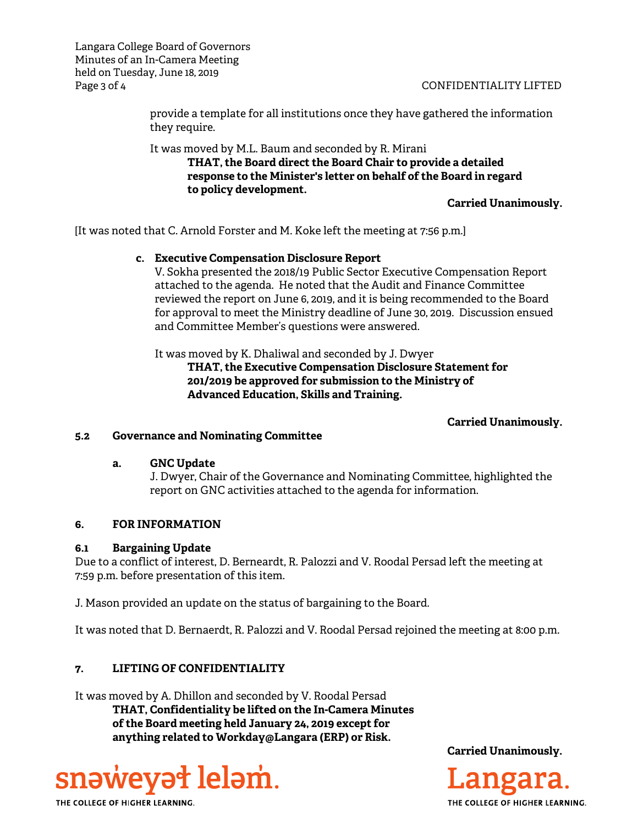Langara College Board of Governors Minutes of an In-Camera Meeting held on Tuesday, June 18, 2019 Page 3 of 4 CONFIDENTIALITY LIFTED

provide a template for all institutions once they have gathered the information they require.

It was moved by M.L. Baum and seconded by R. Mirani

 **THAT, the Board direct the Board Chair to provide a detailed response to the Minister's letter on behalf of the Board in regard to policy development.** 

**Carried Unanimously.** 

[It was noted that C. Arnold Forster and M. Koke left the meeting at 7:56 p.m.]

# **c. Executive Compensation Disclosure Report**

V. Sokha presented the 2018/19 Public Sector Executive Compensation Report attached to the agenda. He noted that the Audit and Finance Committee reviewed the report on June 6, 2019, and it is being recommended to the Board for approval to meet the Ministry deadline of June 30, 2019. Discussion ensued and Committee Member's questions were answered.

It was moved by K. Dhaliwal and seconded by J. Dwyer

 **THAT, the Executive Compensation Disclosure Statement for 201/2019 be approved for submission to the Ministry of Advanced Education, Skills and Training.** 

# **Carried Unanimously.**

# **5.2 Governance and Nominating Committee**

### **a. GNC Update**

J. Dwyer, Chair of the Governance and Nominating Committee, highlighted the report on GNC activities attached to the agenda for information.

# **6. FOR INFORMATION**

# **6.1 Bargaining Update**

Due to a conflict of interest, D. Berneardt, R. Palozzi and V. Roodal Persad left the meeting at 7:59 p.m. before presentation of this item.

J. Mason provided an update on the status of bargaining to the Board.

It was noted that D. Bernaerdt, R. Palozzi and V. Roodal Persad rejoined the meeting at 8:00 p.m.

# **7. LIFTING OF CONFIDENTIALITY**

It was moved by A. Dhillon and seconded by V. Roodal Persad **THAT, Confidentiality be lifted on the In-Camera Minutes of the Board meeting held January 24, 2019 except for anything related to Workday@Langara (ERP) or Risk.**



**Carried Unanimously.**